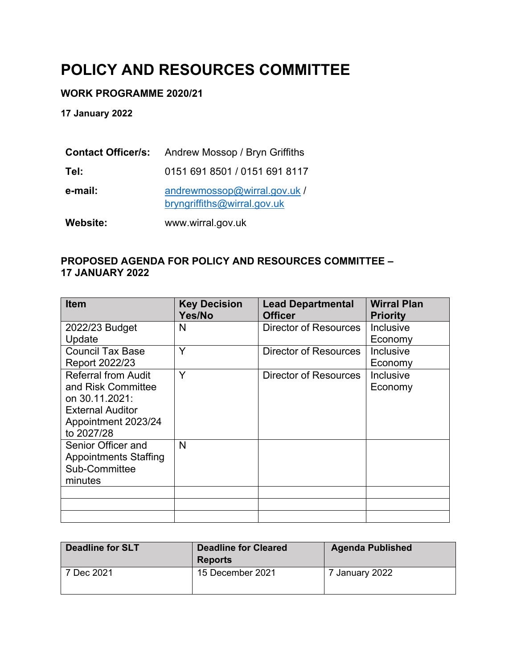# **POLICY AND RESOURCES COMMITTEE**

#### **WORK PROGRAMME 2020/21**

**17 January 2022**

| Website:                  | www.wirral.gov.uk                                           |
|---------------------------|-------------------------------------------------------------|
| e-mail:                   | andrewmossop@wirral.gov.uk /<br>bryngriffiths@wirral.gov.uk |
| Tel:                      | 0151 691 8501 / 0151 691 8117                               |
| <b>Contact Officer/s:</b> | Andrew Mossop / Bryn Griffiths                              |

#### **PROPOSED AGENDA FOR POLICY AND RESOURCES COMMITTEE – 17 JANUARY 2022**

| <b>Item</b>                                                                                                                        | <b>Key Decision</b><br>Yes/No | <b>Lead Departmental</b><br><b>Officer</b> | <b>Wirral Plan</b><br><b>Priority</b> |
|------------------------------------------------------------------------------------------------------------------------------------|-------------------------------|--------------------------------------------|---------------------------------------|
| 2022/23 Budget<br>Update                                                                                                           | N                             | Director of Resources                      | Inclusive<br>Economy                  |
| <b>Council Tax Base</b><br>Report 2022/23                                                                                          | Y                             | Director of Resources                      | Inclusive<br>Economy                  |
| <b>Referral from Audit</b><br>and Risk Committee<br>on 30.11.2021:<br><b>External Auditor</b><br>Appointment 2023/24<br>to 2027/28 | Y                             | Director of Resources                      | Inclusive<br>Economy                  |
| Senior Officer and<br><b>Appointments Staffing</b><br>Sub-Committee<br>minutes                                                     | N                             |                                            |                                       |
|                                                                                                                                    |                               |                                            |                                       |
|                                                                                                                                    |                               |                                            |                                       |
|                                                                                                                                    |                               |                                            |                                       |

| <b>Deadline for SLT</b> | <b>Deadline for Cleared</b><br><b>Reports</b> | <b>Agenda Published</b> |
|-------------------------|-----------------------------------------------|-------------------------|
| 7 Dec 2021              | 15 December 2021                              | 7 January 2022          |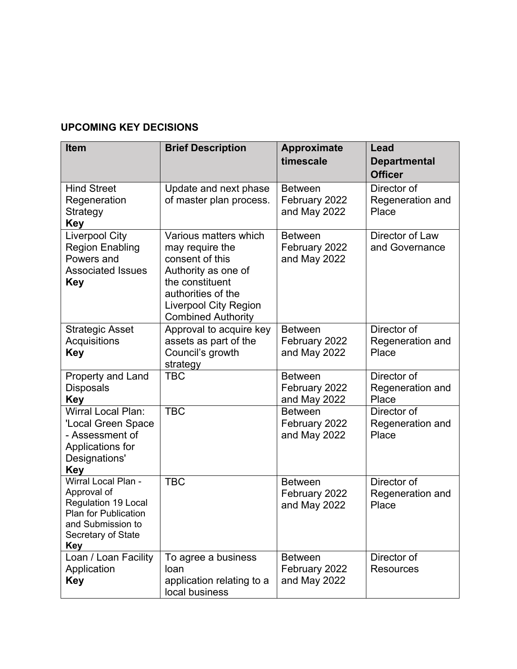#### **UPCOMING KEY DECISIONS**

| <b>Item</b>                                                                                                                                       | <b>Brief Description</b>                                                                                                                                                                 | <b>Approximate</b><br>timescale                 | Lead<br><b>Departmental</b><br><b>Officer</b> |
|---------------------------------------------------------------------------------------------------------------------------------------------------|------------------------------------------------------------------------------------------------------------------------------------------------------------------------------------------|-------------------------------------------------|-----------------------------------------------|
| <b>Hind Street</b><br>Regeneration<br>Strategy<br><b>Key</b>                                                                                      | Update and next phase<br>of master plan process.                                                                                                                                         | <b>Between</b><br>February 2022<br>and May 2022 | Director of<br>Regeneration and<br>Place      |
| <b>Liverpool City</b><br><b>Region Enabling</b><br>Powers and<br><b>Associated Issues</b><br><b>Key</b>                                           | Various matters which<br>may require the<br>consent of this<br>Authority as one of<br>the constituent<br>authorities of the<br><b>Liverpool City Region</b><br><b>Combined Authority</b> | <b>Between</b><br>February 2022<br>and May 2022 | Director of Law<br>and Governance             |
| <b>Strategic Asset</b><br>Acquisitions<br><b>Key</b>                                                                                              | Approval to acquire key<br>assets as part of the<br>Council's growth<br>strategy                                                                                                         | <b>Between</b><br>February 2022<br>and May 2022 | Director of<br>Regeneration and<br>Place      |
| Property and Land<br><b>Disposals</b><br><b>Key</b>                                                                                               | <b>TBC</b>                                                                                                                                                                               | <b>Between</b><br>February 2022<br>and May 2022 | Director of<br>Regeneration and<br>Place      |
| <b>Wirral Local Plan:</b><br>'Local Green Space<br>- Assessment of<br>Applications for<br>Designations'<br><b>Key</b>                             | <b>TBC</b>                                                                                                                                                                               | <b>Between</b><br>February 2022<br>and May 2022 | Director of<br>Regeneration and<br>Place      |
| Wirral Local Plan -<br>Approval of<br><b>Regulation 19 Local</b><br>Plan for Publication<br>and Submission to<br>Secretary of State<br><b>Key</b> | <b>TBC</b>                                                                                                                                                                               | <b>Between</b><br>February 2022<br>and May 2022 | Director of<br>Regeneration and<br>Place      |
| Loan / Loan Facility<br>Application<br><b>Key</b>                                                                                                 | To agree a business<br>loan<br>application relating to a<br>local business                                                                                                               | <b>Between</b><br>February 2022<br>and May 2022 | Director of<br><b>Resources</b>               |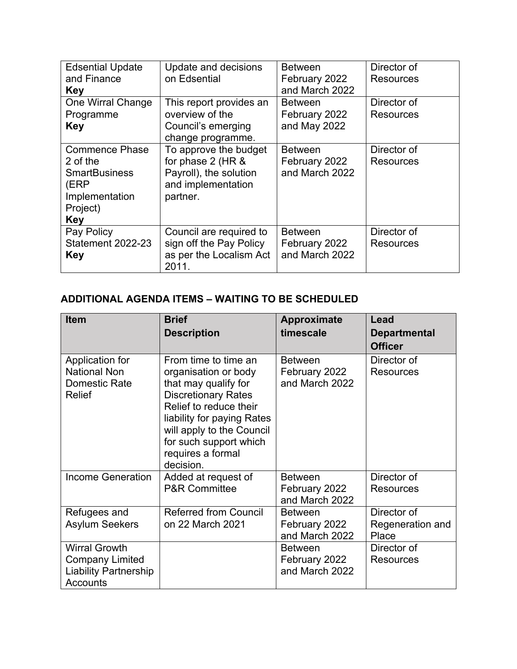| <b>Edsential Update</b><br>and Finance<br><b>Key</b>                                                          | Update and decisions<br>on Edsential                                                                   | <b>Between</b><br>February 2022<br>and March 2022 | Director of<br><b>Resources</b> |
|---------------------------------------------------------------------------------------------------------------|--------------------------------------------------------------------------------------------------------|---------------------------------------------------|---------------------------------|
| One Wirral Change<br>Programme<br><b>Key</b>                                                                  | This report provides an<br>overview of the<br>Council's emerging<br>change programme.                  | <b>Between</b><br>February 2022<br>and May 2022   | Director of<br><b>Resources</b> |
| <b>Commence Phase</b><br>2 of the<br><b>SmartBusiness</b><br>(ERP<br>Implementation<br>Project)<br><b>Key</b> | To approve the budget<br>for phase 2 (HR &<br>Payroll), the solution<br>and implementation<br>partner. | <b>Between</b><br>February 2022<br>and March 2022 | Director of<br>Resources        |
| Pay Policy<br>Statement 2022-23<br><b>Key</b>                                                                 | Council are required to<br>sign off the Pay Policy<br>as per the Localism Act<br>2011.                 | <b>Between</b><br>February 2022<br>and March 2022 | Director of<br>Resources        |

## **ADDITIONAL AGENDA ITEMS – WAITING TO BE SCHEDULED**

| <b>Item</b>                                                                                | <b>Brief</b>                                                                                                                                                                                                                                        | <b>Approximate</b>                                | Lead                                     |
|--------------------------------------------------------------------------------------------|-----------------------------------------------------------------------------------------------------------------------------------------------------------------------------------------------------------------------------------------------------|---------------------------------------------------|------------------------------------------|
|                                                                                            | <b>Description</b>                                                                                                                                                                                                                                  | timescale                                         | <b>Departmental</b><br><b>Officer</b>    |
| Application for<br><b>National Non</b><br>Domestic Rate<br>Relief                          | From time to time an<br>organisation or body<br>that may qualify for<br><b>Discretionary Rates</b><br>Relief to reduce their<br>liability for paying Rates<br>will apply to the Council<br>for such support which<br>requires a formal<br>decision. | <b>Between</b><br>February 2022<br>and March 2022 | Director of<br><b>Resources</b>          |
| <b>Income Generation</b>                                                                   | Added at request of<br><b>P&amp;R Committee</b>                                                                                                                                                                                                     | <b>Between</b><br>February 2022<br>and March 2022 | Director of<br><b>Resources</b>          |
| Refugees and<br><b>Asylum Seekers</b>                                                      | <b>Referred from Council</b><br>on 22 March 2021                                                                                                                                                                                                    | <b>Between</b><br>February 2022<br>and March 2022 | Director of<br>Regeneration and<br>Place |
| <b>Wirral Growth</b><br><b>Company Limited</b><br><b>Liability Partnership</b><br>Accounts |                                                                                                                                                                                                                                                     | <b>Between</b><br>February 2022<br>and March 2022 | Director of<br>Resources                 |